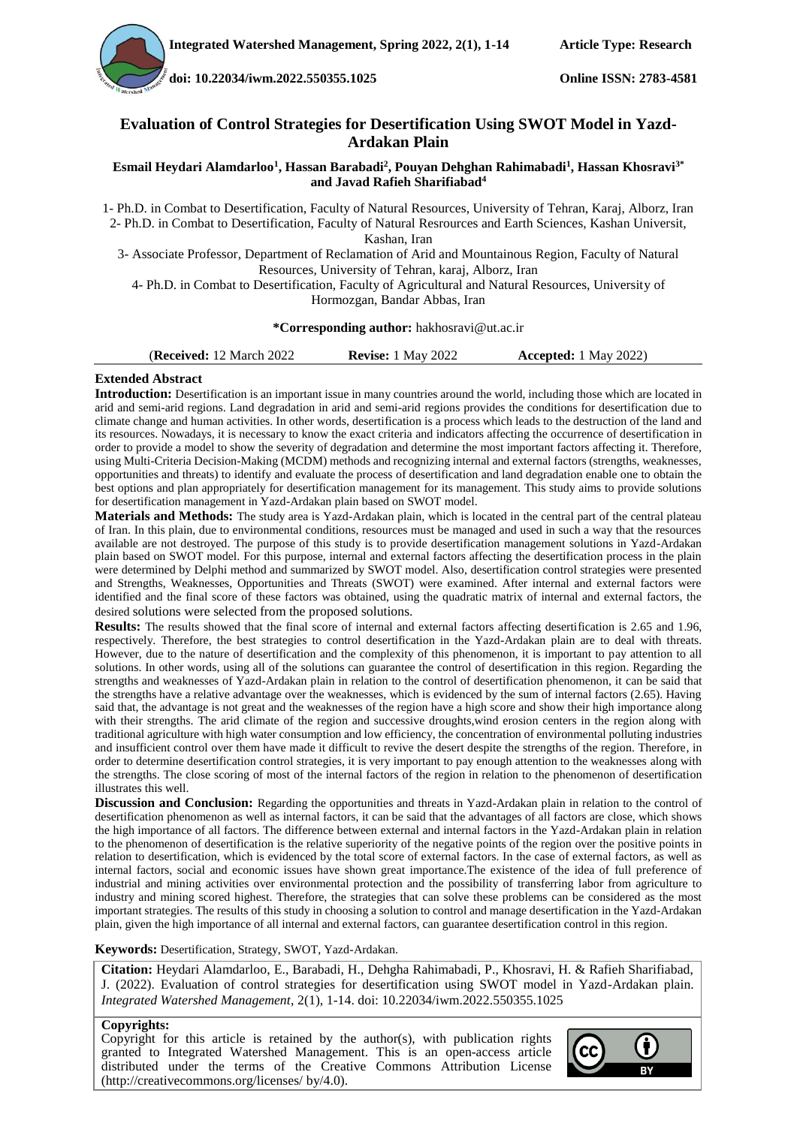**doi[: 10.22034/iwm.2022.550355.1025](https://dx.doi.org/10.22034/iwm.2022.550355.1025) Online ISSN: 2783-4581**

#### **Evaluation of Control Strategies for Desertification Using SWOT Model in Yazd-Ardakan Plain**

#### **Esmail Heydari Alamdarloo<sup>1</sup> , Hassan Barabadi<sup>2</sup> , Pouyan Dehghan Rahimabadi<sup>1</sup> , Hassan Khosravi3\* and Javad Rafieh Sharifiabad<sup>4</sup>**

1- Ph.D. in Combat to Desertification, Faculty of Natural Resources, University of Tehran, Karaj, Alborz, Iran 2- Ph.D. in Combat to Desertification, Faculty of Natural Resrources and Earth Sciences, Kashan Universit, Kashan, Iran

3- Associate Professor, Department of Reclamation of Arid and Mountainous Region, Faculty of Natural Resources, University of Tehran, karaj, Alborz, Iran

4- Ph.D. in Combat to Desertification, Faculty of Agricultural and Natural Resources, University of Hormozgan, Bandar Abbas, Iran

#### **\*Corresponding author:** hakhosravi@ut.ac.ir

#### **Extended Abstract**

**Introduction:** Desertification is an important issue in many countries around the world, including those which are located in arid and semi-arid regions. Land degradation in arid and semi-arid regions provides the conditions for desertification due to climate change and human activities. In other words, desertification is a process which leads to the destruction of the land and its resources. Nowadays, it is necessary to know the exact criteria and indicators affecting the occurrence of desertification in order to provide a model to show the severity of degradation and determine the most important factors affecting it. Therefore, using Multi-Criteria Decision-Making (MCDM) methods and recognizing internal and external factors (strengths, weaknesses, opportunities and threats) to identify and evaluate the process of desertification and land degradation enable one to obtain the best options and plan appropriately for desertification management for its management. This study aims to provide solutions for desertification management in Yazd-Ardakan plain based on SWOT model.

**Materials and Methods:** The study area is Yazd-Ardakan plain, which is located in the central part of the central plateau of Iran. In this plain, due to environmental conditions, resources must be managed and used in such a way that the resources available are not destroyed. The purpose of this study is to provide desertification management solutions in Yazd-Ardakan plain based on SWOT model. For this purpose, internal and external factors affecting the desertification process in the plain were determined by Delphi method and summarized by SWOT model. Also, desertification control strategies were presented and Strengths, Weaknesses, Opportunities and Threats (SWOT) were examined. After internal and external factors were identified and the final score of these factors was obtained, using the quadratic matrix of internal and external factors, the desired solutions were selected from the proposed solutions.

**Results:** The results showed that the final score of internal and external factors affecting desertification is 2.65 and 1.96, respectively. Therefore, the best strategies to control desertification in the Yazd-Ardakan plain are to deal with threats. However, due to the nature of desertification and the complexity of this phenomenon, it is important to pay attention to all solutions. In other words, using all of the solutions can guarantee the control of desertification in this region. Regarding the strengths and weaknesses of Yazd-Ardakan plain in relation to the control of desertification phenomenon, it can be said that the strengths have a relative advantage over the weaknesses, which is evidenced by the sum of internal factors (2.65). Having said that, the advantage is not great and the weaknesses of the region have a high score and show their high importance along with their strengths. The arid climate of the region and successive droughts,wind erosion centers in the region along with traditional agriculture with high water consumption and low efficiency, the concentration of environmental polluting industries and insufficient control over them have made it difficult to revive the desert despite the strengths of the region. Therefore, in order to determine desertification control strategies, it is very important to pay enough attention to the weaknesses along with the strengths. The close scoring of most of the internal factors of the region in relation to the phenomenon of desertification illustrates this well.

**Discussion and Conclusion:** Regarding the opportunities and threats in Yazd-Ardakan plain in relation to the control of desertification phenomenon as well as internal factors, it can be said that the advantages of all factors are close, which shows the high importance of all factors. The difference between external and internal factors in the Yazd-Ardakan plain in relation to the phenomenon of desertification is the relative superiority of the negative points of the region over the positive points in relation to desertification, which is evidenced by the total score of external factors. In the case of external factors, as well as internal factors, social and economic issues have shown great importance.The existence of the idea of full preference of industrial and mining activities over environmental protection and the possibility of transferring labor from agriculture to industry and mining scored highest. Therefore, the strategies that can solve these problems can be considered as the most important strategies. The results of this study in choosing a solution to control and manage desertification in the Yazd-Ardakan plain, given the high importance of all internal and external factors, can guarantee desertification control in this region.

**Keywords:** Desertification, Strategy, SWOT, Yazd-Ardakan.

**Citation:** Heydari Alamdarloo, E., Barabadi, H., Dehgha Rahimabadi, P., Khosravi, H. & Rafieh Sharifiabad, J. (2022). Evaluation of control strategies for desertification using SWOT model in Yazd-Ardakan plain. *Integrated Watershed Management*, 2(1), 1-14. doi: [10.22034/iwm.2022.550355.1025](https://dx.doi.org/10.22034/iwm.2022.550355.1025)

#### **Copyrights:**

Copyright for this article is retained by the author(s), with publication rights granted to Integrated Watershed Management. This is an open-access article distributed under the terms of the Creative Commons Attribution License (http://creativecommons.org/licenses/ by/4.0).

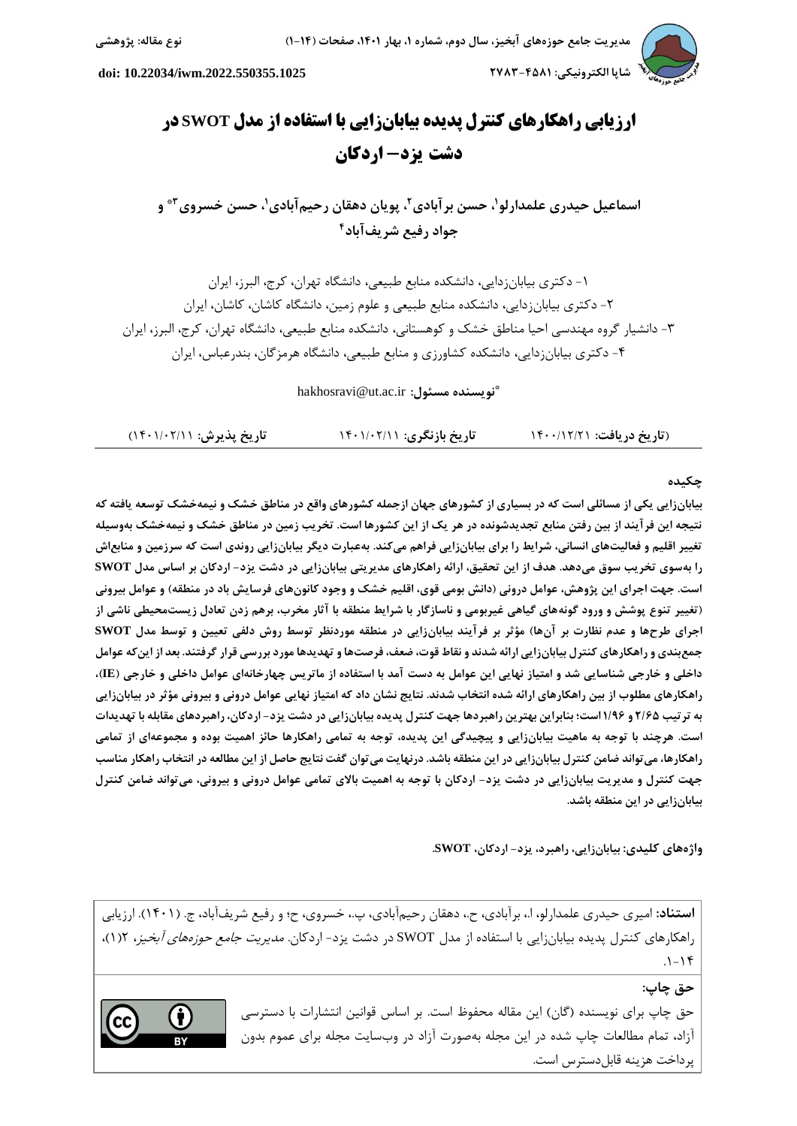

 **شاپا الکترونیکی: 3852-0851 [.2022.550355.1025iwm10.22034/](https://dx.doi.org/10.22034/iwm.2022.550355.1025) :doi**

# **ارزيابي راهکارهای کنترل پديده بیابانزايي با استفاده از مدل SWOT در دشت يزد- اردکان**

**،<sup>1</sup> حسن خسروی2\* ، پویان دهقان رحیمآبادی ،<sup>1</sup> حسن برآبادی<sup>3</sup> اسماعیل حیدری علمدارلو و 0 جواد رفیع شریفآباد**

-1 دکتری بیابانزدایي، دانشکده منابع طبیعي، دانشگاه تهران، کرج، البرز، ایران -2 دکتری بیابانزدایي، دانشکده منابع طبیعي و علوم زمین، دانشگاه کاشان، کاشان، ایران -3 دانشیار گروه مهندسي احیا مناطق خشک و کوهستاني، دانشکده منابع طبیعي، دانشگاه تهران، کرج، البرز، ایران -0 دکتری بیابانزدایي، دانشکده کشاورزی و منابع طبیعي، دانشگاه هرمزگان، بندرعباس، ایران

**\*** hakhosravi@ut.ac.ir **:مسئول نویسنده**

| تاریخ پذیرش: ۱۴۰۱/۰۲/۱۱) | تاریخ بازنگری: ۱۴۰۱/۰۲/۱۱ | (تاریخ دریافت: ۱۴۰۰/۱۲/۲۱ |
|--------------------------|---------------------------|---------------------------|
|--------------------------|---------------------------|---------------------------|

#### **چکیده**

**بیابانزایی یکی از مسائلی است که در بسیاری از کشورهای جهان ازجمله کشورهای واقع در مناطق خشک و نیمهخشک توسعه یافته که نتیجه این فرآیند از بین رفتن منابع تجدیدشونده در هر یک از این کشورها است. تخریب زمین در مناطق خشک و نیمهخشک بهوسیله تغییر اقلیم و فعالیتهای انسانی، شرایط را برای بیابانزایی فراهم میکند. بهعبارت دیگر بیابانزایی روندی است که سرزمین و منابعاش را بهسوی تخریب سوق میدهد. هدف از این تحقیق، ارائه راهکارهای مدیریتی بیابانزایی در دشت یزد- اردکان بر اساس مدل SWOT** است. جهت اجرای این پژوهش، عوامل درونی (دانش بومی قوی، اقلیم خشک و وجود کانونهای فرسایش باد در منطقه) و عوامل بیرونی **)تغییر تنوع پوشش و ورود گونههای گیاهی غیربومی و ناسازگار با شرایط منطقه با آثار مخرب، برهم زدن تعادل زیستمحیطی ناشی از**  اجرای طرحها و عدم نظارت بر آنها) مؤثر بر فرآیند بیابانزایی در منطقه موردنظر توسط روش دلفی تعیین و توسط مدل SWOT **جمعبندی و راهکارهای کنترل بیابانزایی ارائه شدند و نقاط قوت، ضعف، فرصتها و تهدیدها مورد بررسی قرار گرفتند. بعد از اینکه عوامل داخلی و خارجی شناسایی شد و امتیاز نهایی این عوامل به دست آمد با استفاده از ماتریس چهارخانهای عوامل داخلی و خارجی )IE)، راهکارهای مطلوب از بین راهکارهای ارائه شده انتخاب شدند. نتایج نشان داد که امتیاز نهایی عوامل درونی و بیرونی مؤثر در بیابانزایی به ترتیب 3/58 و 1/65 است؛ بنابراین بهترین راهبردها جهت کنترل پدیده بیابانزایی در دشت یزد- اردکان، راهبردهای مقابله با تهدیدات است. هرچند با توجه به ماهیت بیابانزایی و پیچیدگی این پدیده، توجه به تمامی راهکارها حائز اهمیت بوده و مجموعهای از تمامی راهکارها، میتواند ضامن کنترل بیابانزایی در این منطقه باشد. درنهایت میتوان گفت نتایج حاصل از این مطالعه در انتخاب راهکار مناسب جهت کنترل و مدیریت بیابانزایی در دشت یزد- اردکان با توجه به اهمیت باالی تمامی عوامل درونی و بیرونی، میتواند ضامن کنترل بیابانزایی در این منطقه باشد.**

**واژههای کلیدی: بیابانزایی، راهبرد، یزد- اردکان، SWOT.**

**استناد:** امیری حیدری علمدارلو، ا،. برآبادی، ح،. دهقان رحیمآبادی، پ،. خسروی، ح؛ و رفیع شریفآباد، ج. )1041(. ارزیابي راهکارهای کنترل پدیده بیابانزایي با استفاده از مدل SWOT در دشت یزد- اردکان. مدیریت جامع حوزههای آبخیز، 2)1(،  $.1 - 19$ 

**حق چاپ:**

حق چاپ برای نویسنده (گان) این مقاله محفوظ است. بر اساس قوانین انتشارات با دسترسی آزاد، تمام مطالعات چاپ شده در این مجله بهصورت آزاد در وبسایت مجله برای عموم بدون پرداخت هزینه قابلدسترس است.

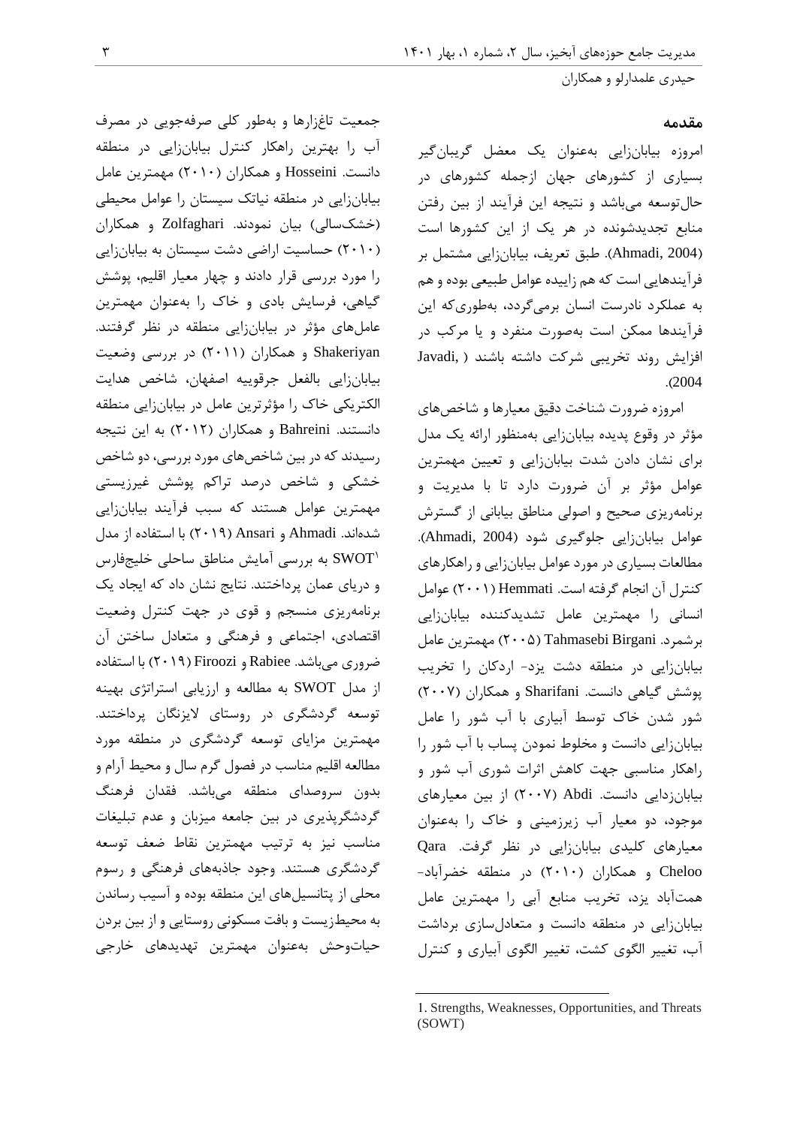#### **مقدمه**

امروزه بیابانزایي بهعنوان یک معضل گریبانگیر بسیاری از کشورهای جهان ازجمله کشورهای در حالتوسعه ميباشد و نتیجه این فرآیند از بین رفتن منابع تجدیدشونده در هر یک از این کشورها است )2004 ,Ahmadi). طبق تعریف، بیابانزایي مشتمل بر فرآیندهایي است که هم زاییده عوامل طبیعي بوده و هم به عملکرد نادرست انسان برميگردد، بهطوریکه این فرآیندها ممکن است بهصورت منفرد و یا مرکب در افزایش روند تخریبي شرکت داشته باشند ) ,Javadi .)2004

امروزه ضرورت شناخت دقیق معیارها و شاخصهای مؤثر در وقوع پدیده بیابانزایي بهمنظور ارائه یک مدل برای نشان دادن شدت بیابانزایي و تعیین مهمترین عوامل مؤثر بر آن ضرورت دارد تا با مدیریت و برنامهریزی صحیح و اصولي مناطق بیاباني از گسترش عوامل بیابانزایي جلوگیری شود )2004 ,Ahmadi). مطالعات بسیاری در مورد عوامل بیابانزایي و راهکارهای کنترل آن انجام گرفته است. Hemmati( 2441 )عوامل انساني را مهمترین عامل تشدیدکننده بیابانزایي بر شمرد. Tahmasebi Birgani (۲۰۰۵) مهمترین عامل بیابانزایي در منطقه دشت یزد- اردکان را تخریب پوشش گیاهي دانست. Sharifani و همکاران )2447( شور شدن خاک توسط آبیاری با آب شور را عامل بیابانزایي دانست و مخلوط نمودن پساب با آب شور را راهکار مناسبي جهت کاهش اثرات شوری آب شور و بیابانزدایي دانست. Abdi( 2447 )از بین معیارهای موجود، دو معیار آب زیرزمیني و خاک را بهعنوان معیارهای کلیدی بیابانزایي در نظر گرفت. Qara Cheloo و همکاران )2414( در منطقه خضرآباد- همتآباد یزد، تخریب منابع آبي را مهمترین عامل بیابانزایي در منطقه دانست و متعادلسازی برداشت آب، تغییر الگوی کشت، تغییر الگوی آبیاری و کنترل

جمعیت تاغزارها و بهطور کلي صرفهجویي در مصرف آب را بهترین راهکار کنترل بیابانزایي در منطقه دانست. Hosseini و همکاران )2414( مهمترین عامل بیابانزایي در منطقه نیاتک سیستان را عوامل محیطي )خشکسالي( بیان نمودند. Zolfaghari و همکاران )2414( حساسیت اراضي دشت سیستان به بیابانزایي را مورد بررسي قرار دادند و چهار معیار اقلیم، پوشش گیاهي، فرسایش بادی و خاک را بهعنوان مهمترین عاملهای مؤثر در بیابانزایي منطقه در نظر گرفتند. Shakeriyan و همکاران )2411( در بررسي وضعیت بیابانزایي بالفعل جرقوییه اصفهان، شاخص هدایت الکتریکي خاک را مؤثرترین عامل در بیابانزایي منطقه دانستند. Bahreini و همکاران )2412( به این نتیجه رسیدند که در بین شاخصهای مورد بررسي، دو شاخص خشکي و شاخص درصد تراکم پوشش غیرزیستي مهمترین عوامل هستند که سبب فرآیند بیابانزایي شدهاند. Ahmadi و Ansari( 2412 )با استفاده از مدل 1 SWOT به بررسي آمایش مناطق ساحلي خلیجفارس و دریای عمان پرداختند. نتایج نشان داد که ایجاد یک برنامهریزی منسجم و قوی در جهت کنترل وضعیت اقتصادی، اجتماعي و فرهنگي و متعادل ساختن آن ضروری ميباشد. Rabiee و Firoozi( 2412 )با استفاده از مدل SWOT به مطالعه و ارزیابي استراتژی بهینه توسعه گردشگری در روستای الیزنگان پرداختند. مهمترین مزایای توسعه گردشگری در منطقه مورد مطالعه اقلیم مناسب در فصول گرم سال و محیط آرام و بدون سروصدای منطقه ميباشد. فقدان فرهنگ گردشگرپذیری در بین جامعه میزبان و عدم تبلیغات مناسب نیز به ترتیب مهمترین نقاط ضعف توسعه گردشگری هستند. وجود جاذبههای فرهنگي و رسوم محلي از پتانسیلهای این منطقه بوده و آسیب رساندن به محیطزیست و بافت مسکوني روستایي و از بین بردن حیاتوحش بهعنوان مهمترین تهدیدهای خارجي

<sup>1.</sup> Strengths, Weaknesses, Opportunities, and Threats (SOWT)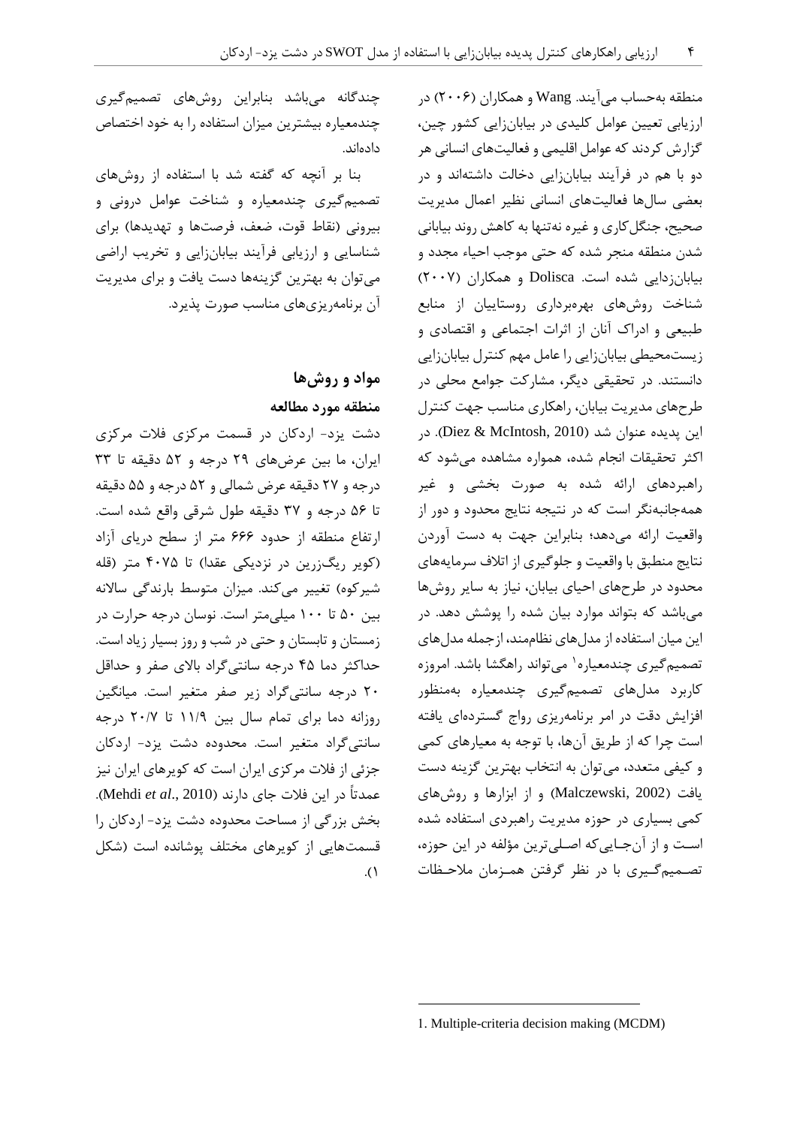منطقه بهحساب ميآیند. Wang و همکاران )2442( در ارزیابي تعیین عوامل کلیدی در بیابانزایي کشور چین، گزارش کردند که عوامل اقلیمي و فعالیتهای انساني هر دو با هم در فرآیند بیابانزایي دخالت داشتهاند و در بعضي سالها فعالیتهای انساني نظیر اعمال مدیریت صحیح، جنگلکاری و غیره نهتنها به کاهش روند بیاباني شدن منطقه منجر شده که حتي موجب احیاء مجدد و بیابانزدایي شده است. Dolisca و همکاران )2447( شناخت روشهای بهرهبرداری روستاییان از منابع طبیعي و ادراک آنان از اثرات اجتماعي و اقتصادی و زیستمحیطي بیابانزایي را عامل مهم کنترل بیابانزایي دانستند. در تحقیقي دیگر، مشارکت جوامع محلي در طرحهای مدیریت بیابان، راهکاری مناسب جهت کنترل این پدیده عنوان شد )2010 ,McIntosh & Diez). در اکثر تحقیقات انجام شده، همواره مشاهده ميشود که راهبردهای ارائه شده به صورت بخشي و غیر همهجانبهنگر است که در نتیجه نتایج محدود و دور از واقعیت ارائه ميدهد؛ بنابراین جهت به دست آوردن نتایج منطبق با واقعیت و جلوگیری از اتالف سرمایههای محدود در طرحهای احیای بیابان، نیاز به سایر روشها ميباشد که بتواند موارد بیان شده را پوشش دهد. در این میان استفاده از مدلهای نظاممند، ازجمله مدلهای تصمیم گیری چندمعیاره ۱ میتواند راهگشا باشد. امروزه کاربرد مدلهای تصمیمگیری چندمعیاره بهمنظور افزایش دقت در امر برنامهریزی رواج گستردهای یافته است چرا که از طریق آنها، با توجه به معیارهای کمي و کیفي متعدد، ميتوان به انتخاب بهترین گزینه دست یافت )2002 ,Malczewski )و از ابزارها و روشهای کمي بسیاری در حوزه مدیریت راهبردی استفاده شده اسـت و از آنجـایيکه اصـليترین مؤلفه در این حوزه، تصـمیمگـیری با در نظر گرفتن همـزمان مالحـظات

چندگانه ميباشد بنابراین روشهای تصمیمگیری چندمعیاره بیشترین میزان استفاده را به خود اختصاص دادهاند.

بنا بر آنچه که گفته شد با استفاده از روشهای تصمیمگیری چندمعیاره و شناخت عوامل دروني و بیروني )نقاط قوت، ضعف، فرصتها و تهدیدها( برای شناسایي و ارزیابي فرآیند بیابانزایي و تخریب اراضي ميتوان به بهترین گزینهها دست یافت و برای مدیریت آن برنامهریزیهای مناسب صورت پذیرد.

## **مواد و روشها منطقه مورد مطالعه**

دشت یزد- اردکان در قسمت مرکزی فالت مرکزی ایران، ما بین عرضهای 22 درجه و 22 دقیقه تا 33 درجه و 27 دقیقه عرض شمالي و 22 درجه و 22 دقیقه تا 22 درجه و 37 دقیقه طول شرقي واقع شده است. ارتفاع منطقه از حدود 222 متر از سطح دریای آزاد (کویر ریگزرین در نزدیکی عقدا) تا ۴۰۷۵ متر (قله شیرکوه) تغییر میکند. میزان متوسط بارندگی سالانه بین 24 تا 144 میليمتر است. نوسان درجه حرارت در زمستان و تابستان و حتي در شب و روز بسیار زیاد است. حداکثر دما 02 درجه سانتيگراد باالی صفر و حداقل 24 درجه سانتيگراد زیر صفر متغیر است. میانگین روزانه دما برای تمام سال بین 11/2 تا 24/7 درجه سانتيگراد متغیر است. محدوده دشت یزد- اردکان جزئي از فالت مرکزی ایران است که کویرهای ایران نیز عمدتاً در این فالت جای دارند )2010 .,*al et* Mehdi). بخش بزرگي از مساحت محدوده دشت یزد- اردکان را قسمتهایي از کویرهای مختلف پوشانده است )شکل  $\Lambda$ 

<sup>1.</sup> Multiple-criteria decision making (MCDM)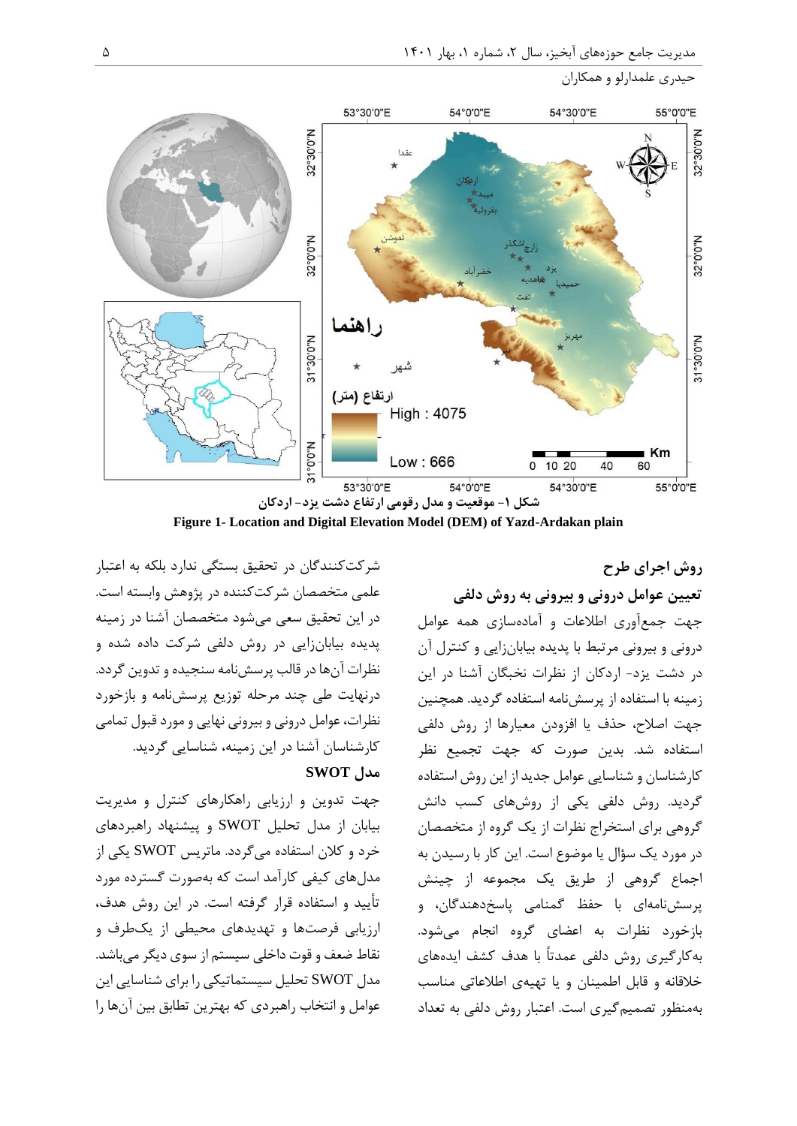



**Figure 1- Location and Digital Elevation Model (DEM) of Yazd-Ardakan plain**

**روش اجرای طرح تعیین عوامل درونی و بیرونی به روش دلفی**

علمي متخصصان شرکتکننده در پژوهش وابسته است. در این تحقیق سعي ميشود متخصصان آشنا در زمینه پدیده بیابانزایي در روش دلفي شرکت داده شده و نظرات آنها در قالب پرسشنامه سنجیده و تدوین گردد. درنهایت طي چند مرحله توزیع پرسشنامه و بازخورد نظرات، عوامل دروني و بیروني نهایي و مورد قبول تمامي کارشناسان آشنا در این زمینه، شناسایي گردید.

شرکتکنندگان در تحقیق بستگي ندارد بلکه به اعتبار

## **مدل SWOT**

جهت تدوین و ارزیابي راهکارهای کنترل و مدیریت بیابان از مدل تحلیل SWOT و پیشنهاد راهبردهای خرد و کالن استفاده ميگردد. ماتریس SWOT یکي از مدلهای کیفي کارآمد است که بهصورت گسترده مورد تأیید و استفاده قرار گرفته است. در این روش هدف، ارزیابي فرصتها و تهدیدهای محیطي از یکطرف و نقاط ضعف و قوت داخلي سیستم از سوی دیگر ميباشد. مدل SWOT تحلیل سیستماتیکي را برای شناسایي این عوامل و انتخاب راهبردی که بهترین تطابق بین آنها را

جهت جمعآوری اطالعات و آمادهسازی همه عوامل دروني و بیروني مرتبط با پدیده بیابانزایي و کنترل آن در دشت یزد- اردکان از نظرات نخبگان آشنا در این زمینه با استفاده از پرسشنامه استفاده گردید. همچنین جهت اصالح، حذف یا افزودن معیارها از روش دلفي استفاده شد. بدین صورت که جهت تجمیع نظر کارشناسان و شناسایي عوامل جدید از این روش استفاده گردید. روش دلفي یکي از روشهای کسب دانش گروهي برای استخراج نظرات از یک گروه از متخصصان در مورد یک سؤال یا موضوع است. این کار با رسیدن به اجماع گروهي از طریق یک مجموعه از چینش پرسشنامهای با حفظ گمنامي پاسخدهندگان، و بازخورد نظرات به اعضای گروه انجام ميشود. بهکارگیری روش دلفي عمدتاً با هدف کشف ایدههای خالقانه و قابل اطمینان و یا تهیهی اطالعاتي مناسب بهمنظور تصمیمگیری است. اعتبار روش دلفي به تعداد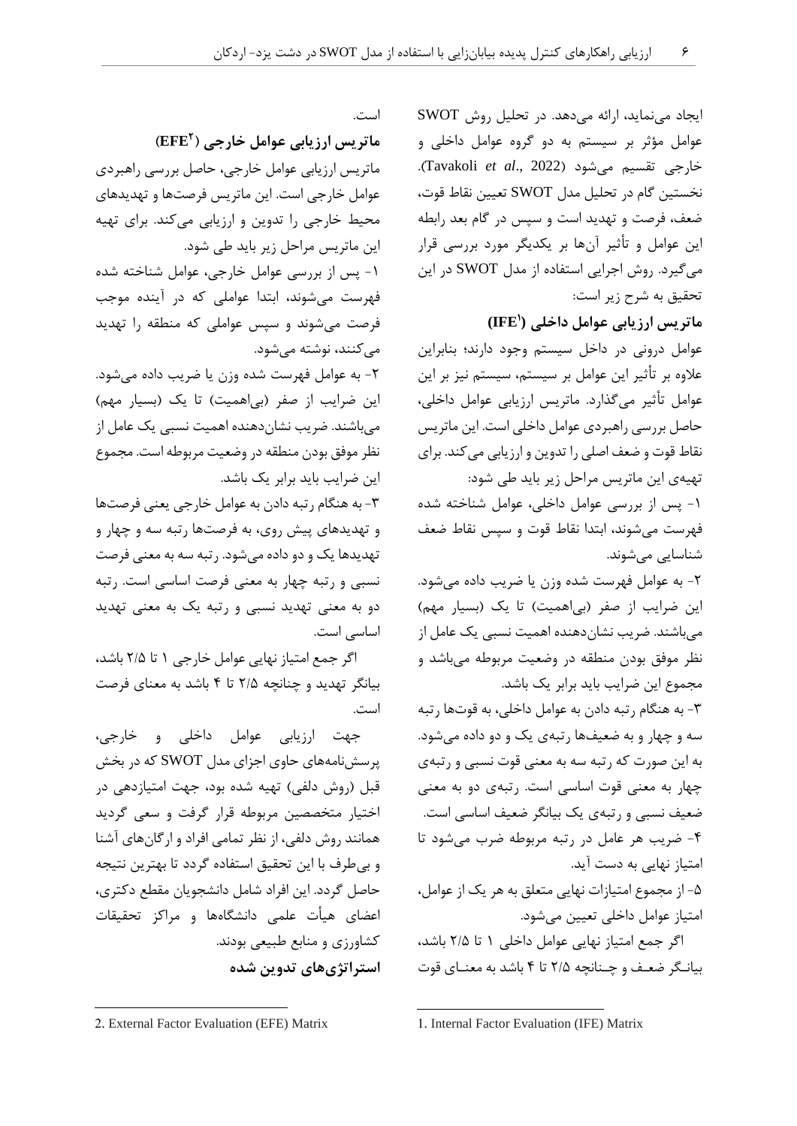ایجاد مينماید، ارائه ميدهد. در تحلیل روش SWOT عوامل مؤثر بر سیستم به دو گروه عوامل داخلي و خارجي تقسیم ميشود )2022 .,*al et* Tavakoli). نخستین گام در تحلیل مدل SWOT تعیین نقاط قوت، ضعف، فرصت و تهدید است و سپس در گام بعد رابطه این عوامل و تأثیر آنها بر یکدیگر مورد بررسي قرار ميگیرد. روش اجرایي استفاده از مدل SWOT در این تحقیق به شرح زیر است:

**1 ماتریس ارزیابی عوامل داخلی ( (IFE**

عوامل دروني در داخل سیستم وجود دارند؛ بنابراین عالوه بر تأثیر این عوامل بر سیستم، سیستم نیز بر این عوامل تأثیر ميگذارد. ماتریس ارزیابي عوامل داخلي، حاصل بررسي راهبردی عوامل داخلي است. این ماتریس نقاط قوت و ضعف اصلي را تدوین و ارزیابي ميکند. برای تهیهی این ماتریس مراحل زیر باید طي شود:

-1 پس از بررسي عوامل داخلي، عوامل شناخته شده فهرست ميشوند، ابتدا نقاط قوت و سپس نقاط ضعف شناسایي ميشوند.

-2 به عوامل فهرست شده وزن یا ضریب داده ميشود. این ضرایب از صفر (بیاهمیت) تا یک (بسیار مهم) ميباشند. ضریب نشاندهنده اهمیت نسبي یک عامل از نظر موفق بودن منطقه در وضعیت مربوطه ميباشد و مجموع این ضرایب باید برابر یک باشد.

-3 به هنگام رتبه دادن به عوامل داخلي، به قوتها رتبه سه و چهار و به ضعیفها رتبهی یک و دو داده ميشود. به این صورت که رتبه سه به معني قوت نسبي و رتبهی چهار به معني قوت اساسي است. رتبهی دو به معني ضعیف نسبي و رتبهی یک بیانگر ضعیف اساسي است. -0 ضریب هر عامل در رتبه مربوطه ضرب ميشود تا امتیاز نهایي به دست آید.

-2 از مجموع امتیازات نهایي متعلق به هر یک از عوامل، امتیاز عوامل داخلي تعیین ميشود.

اگر جمع امتیاز نهایي عوامل داخلي 1 تا 2/2 باشد، بیانـگر ضعـف و چـنانچه 2/2 تا 0 باشد به معنـای قوت

است.

**3 ماتریس ارزیابی عوامل خارجی ) )EFE** ماتریس ارزیابي عوامل خارجي، حاصل بررسي راهبردی عوامل خارجي است. این ماتریس فرصتها و تهدیدهای محیط خارجي را تدوین و ارزیابي ميکند. برای تهیه این ماتریس مراحل زیر باید طي شود. -1 پس از بررسي عوامل خارجي، عوامل شناخته شده فهرست ميشوند، ابتدا عواملي که در آینده موجب فرصت ميشوند و سپس عواملي که منطقه را تهدید ميکنند، نوشته ميشود. -2 به عوامل فهرست شده وزن یا ضریب داده ميشود.

این ضرایب از صفر (بیاهمیت) تا یک (بسیار مهم) ميباشند. ضریب نشاندهنده اهمیت نسبي یک عامل از نظر موفق بودن منطقه در وضعیت مربوطه است. مجموع این ضرایب باید برابر یک باشد.

-3 به هنگام رتبه دادن به عوامل خارجي یعني فرصتها و تهدیدهای پیش روی، به فرصتها رتبه سه و چهار و تهدیدها یک و دو داده ميشود. رتبه سه به معني فرصت نسبي و رتبه چهار به معني فرصت اساسي است. رتبه دو به معني تهدید نسبي و رتبه یک به معني تهدید اساسي است.

اگر جمع امتیاز نهایي عوامل خارجي 1 تا 2/2 باشد، بیانگر تهدید و چنانچه 2/2 تا 0 باشد به معنای فرصت است.

جهت ارزیابي عوامل داخلي و خارجي، پرسشنامههای حاوی اجزای مدل SWOT که در بخش قبل (روش دلفي) تهیه شده بود، جهت امتیازدهي در اختیار متخصصین مربوطه قرار گرفت و سعي گردید همانند روش دلفي، از نظر تمامي افراد و ارگانهای آشنا و بيطرف با این تحقیق استفاده گردد تا بهترین نتیجه حاصل گردد. این افراد شامل دانشجویان مقطع دکتری، اعضای هیأت علمي دانشگاهها و مراکز تحقیقات کشاورزی و منابع طبیعي بودند. **استراتژیهای تدوین شده** 

 $\overline{a}$ 

<sup>1.</sup> Internal Factor Evaluation (IFE) Matrix

<sup>2.</sup> External Factor Evaluation (EFE) Matrix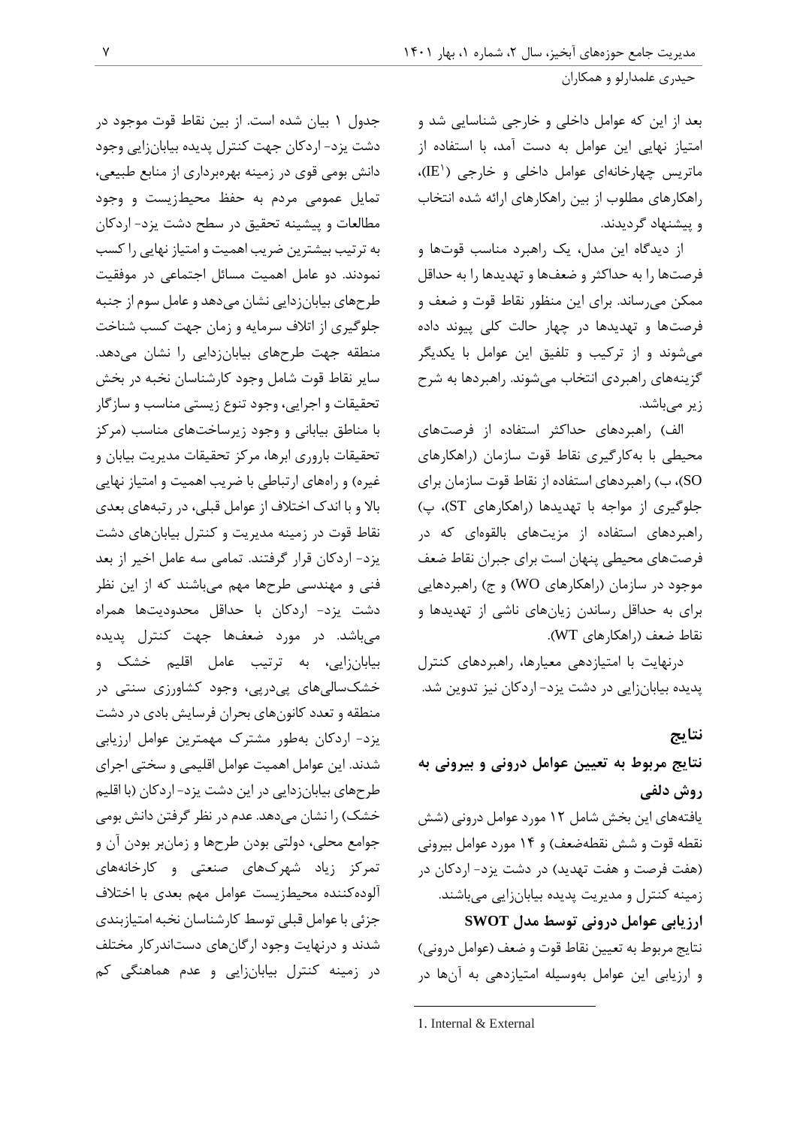بعد از این که عوامل داخلي و خارجي شناسایي شد و امتیاز نهایي این عوامل به دست آمد، با استفاده از ماتریس چهارخانهای عوامل داخلی و خارجی (`IE)، راهکارهای مطلوب از بین راهکارهای ارائه شده انتخاب و پیشنهاد گردیدند.

از دیدگاه این مدل، یک راهبرد مناسب قوتها و فرصتها را به حداکثر و ضعفها و تهدیدها را به حداقل ممکن ميرساند. برای این منظور نقاط قوت و ضعف و فرصتها و تهدیدها در چهار حالت کلي پیوند داده ميشوند و از ترکیب و تلفیق این عوامل با یکدیگر گزینههای راهبردی انتخاب ميشوند. راهبردها به شرح زیر می باشد.

الف) راهبردهای حداکثر استفاده از فرصتهای محیطي با بهکارگیری نقاط قوت سازمان )راهکارهای SO)، ب( راهبردهای استفاده از نقاط قوت سازمان برای جلوگیری از مواجه با تهدیدها )راهکارهای ST)، پ( راهبردهای استفاده از مزیتهای بالقوهای که در فرصتهای محیطي پنهان است برای جبران نقاط ضعف موجود در سازمان (راهکارهای WO) و ج) راهبردهایی برای به حداقل رساندن زیانهای ناشي از تهدیدها و نقاط ضعف )راهکارهای WT).

درنهایت با امتیازدهي معیارها، راهبردهای کنترل پدیده بیابانزایي در دشت یزد- اردکان نیز تدوین شد.

## **نتایج**

# **نتایج مربوط به تعیین عوامل درونی و بیرونی به روش دلفی** یافتههای این بخش شامل 12 مورد عوامل دروني )شش نقطه قوت و شش نقطهضعف( و 10 مورد عوامل بیروني (هفت فرصت و هفت تهدید) در دشت یزد- اردکان در زمینه کنترل و مدیریت پدیده بیابانزایي ميباشند. **ارزیابی عوامل درونی توسط مدل SWOT** نتایج مربوط به تعیین نقاط قوت و ضعف (عوامل دروني) و ارزیابي این عوامل بهوسیله امتیازدهي به آنها در

جدول 1 بیان شده است. از بین نقاط قوت موجود در دشت یزد- اردکان جهت کنترل پدیده بیابانزایي وجود دانش بومي قوی در زمینه بهرهبرداری از منابع طبیعي، تمایل عمومي مردم به حفظ محیطزیست و وجود مطالعات و پیشینه تحقیق در سطح دشت یزد- اردکان به ترتیب بیشترین ضریب اهمیت و امتیاز نهایي را کسب نمودند. دو عامل اهمیت مسائل اجتماعي در موفقیت طرحهای بیابانزدایي نشان ميدهد و عامل سوم از جنبه جلوگیری از اتالف سرمایه و زمان جهت کسب شناخت منطقه جهت طرحهای بیابانزدایي را نشان ميدهد. سایر نقاط قوت شامل وجود کارشناسان نخبه در بخش تحقیقات و اجرایي، وجود تنوع زیستي مناسب و سازگار با مناطق بیاباني و وجود زیرساختهای مناسب )مرکز تحقیقات باروری ابرها، مرکز تحقیقات مدیریت بیابان و غیره) و راههای ارتباطی با ضریب اهمیت و امتیاز نهایی باال و با اندک اختالف از عوامل قبلي، در رتبههای بعدی نقاط قوت در زمینه مدیریت و کنترل بیابانهای دشت یزد- اردکان قرار گرفتند. تمامي سه عامل اخیر از بعد فني و مهندسي طرحها مهم ميباشند که از این نظر دشت یزد- اردکان با حداقل محدودیتها همراه ميباشد. در مورد ضعفها جهت کنترل پدیده بیابانزایي، به ترتیب عامل اقلیم خشک و خشکساليهای پيدرپي، وجود کشاورزی سنتي در منطقه و تعدد کانونهای بحران فرسایش بادی در دشت یزد- اردکان بهطور مشترک مهمترین عوامل ارزیابي شدند. این عوامل اهمیت عوامل اقلیمي و سختي اجرای طرحهای بیابانزدایي در این دشت یزد- اردکان )با اقلیم خشک) را نشان مي دهد. عدم در نظر گرفتن دانش بومي جوامع محلي، دولتي بودن طرحها و زمانبر بودن آن و تمرکز زیاد شهرکهای صنعتي و کارخانههای آلودهکننده محیطزیست عوامل مهم بعدی با اختالف جزئي با عوامل قبلي توسط کارشناسان نخبه امتیازبندی شدند و درنهایت وجود ارگانهای دستاندرکار مختلف در زمینه کنترل بیابانزایي و عدم هماهنگي کم

<sup>1.</sup> Internal & External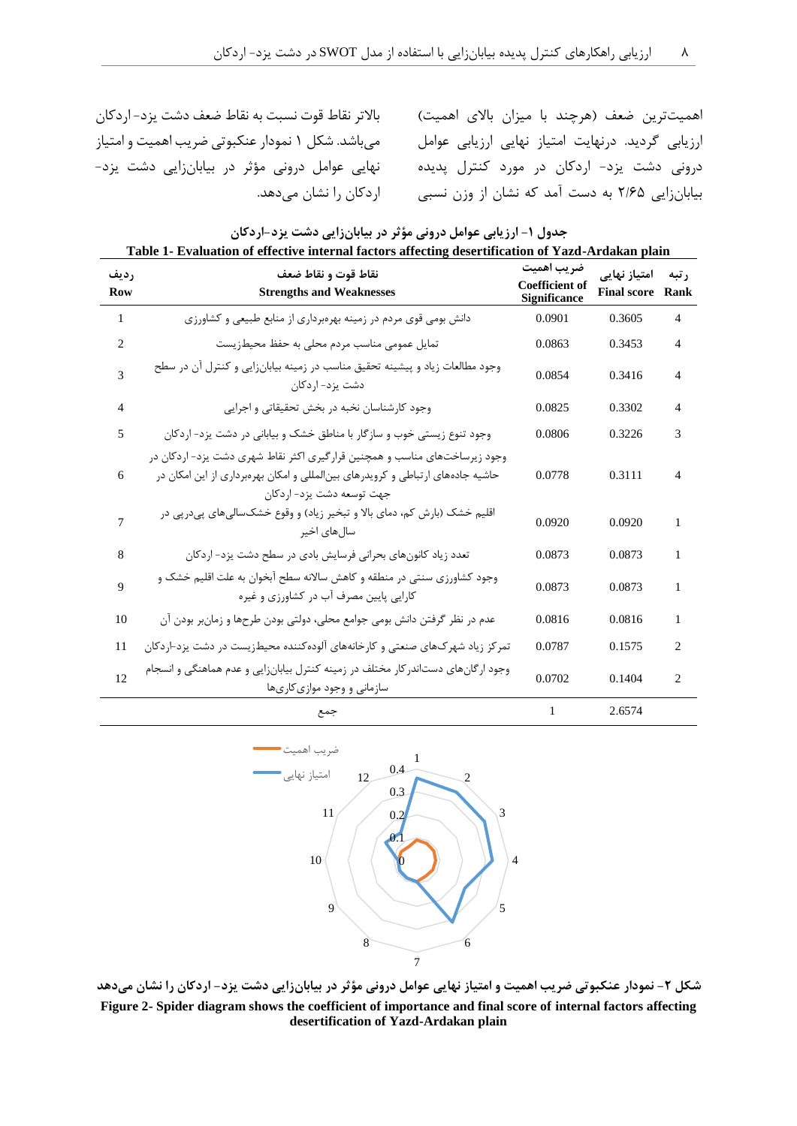نهایي عوامل دروني مؤثر در بیابانزایي دشت یزد- اردکان را نشان ميدهد.

همیتترین ضعف (هرچند با میزان بالای اهمیت) بالاتر نقاط قوت نسبت به نقاط ضعف دشت یزد- اردکان ارزیابي گردید. درنهایت امتیاز نهایي ارزیابي عوامل ميباشد. شکل 1 نمودار عنکبوتي ضریب اهمیت و امتیاز دروني دشت یزد- اردکان در مورد کنترل پدیده بیابانزایي 2/22 به دست آمد که نشان از وزن نسبي

| Table 1- Evaluation of effective internal factors affecting desertification of Tazu-Aftaakan plant |                                                                                                                                                                                          |                                                            |                                         |                |  |
|----------------------------------------------------------------------------------------------------|------------------------------------------------------------------------------------------------------------------------------------------------------------------------------------------|------------------------------------------------------------|-----------------------------------------|----------------|--|
| , ديف<br><b>Row</b>                                                                                | نقاط قوت و نقاط ضعف<br><b>Strengths and Weaknesses</b>                                                                                                                                   | ضريب اهميت<br><b>Coefficient of</b><br><b>Significance</b> | امتياز نهايى<br><b>Final score Rank</b> | ر تبه          |  |
| 1                                                                                                  | دانش بومی قوی مردم در زمینه بهرهبرداری از منابع طبیعی و کشاورزی                                                                                                                          | 0.0901                                                     | 0.3605                                  | $\overline{4}$ |  |
| 2                                                                                                  | تمایل عمومی مناسب مردم محلی به حفظ محیطزیست                                                                                                                                              | 0.0863                                                     | 0.3453                                  | 4              |  |
| 3                                                                                                  | وجود مطالعات زیاد و پیشینه تحقیق مناسب در زمینه بیابانزایی و کنترل آن در سطح<br>دشت یزد- اردکان                                                                                          | 0.0854                                                     | 0.3416                                  | 4              |  |
| 4                                                                                                  | وجود كارشناسان نخبه در بخش تحقيقاتي و اجرايي                                                                                                                                             | 0.0825                                                     | 0.3302                                  | 4              |  |
| 5                                                                                                  | وجود تنوع زیستی خوب و سازگار با مناطق خشک و بیابانی در دشت یزد- اردکان                                                                                                                   | 0.0806                                                     | 0.3226                                  | 3              |  |
| 6                                                                                                  | وجود زیرساختهای مناسب و همچنین قرارگیری اکثر نقاط شهری دشت یزد- اردکان در<br>حاشیه جادههای ارتباطی و کرویدرهای بینالمللی و امکان بهرهبرداری از این امکان در<br>جهت توسعه دشت یزد- اردکان | 0.0778                                                     | 0.3111                                  | 4              |  |
| 7                                                                                                  | اقلیم خشک (بارش کم، دمای بالا و تبخیر زیاد) و وقوع خشکسالیهای پیدرپی در<br>سال های اخیر                                                                                                  | 0.0920                                                     | 0.0920                                  | 1              |  |
| 8                                                                                                  | تعدد زیاد کانونهای بحرانی فرسایش بادی در سطح دشت یزد- اردکان                                                                                                                             | 0.0873                                                     | 0.0873                                  | 1              |  |
| 9                                                                                                  | وجود کشاورزی سنتی در منطقه و کاهش سالانه سطح آبخوان به علت اقلیم خشک و<br>کارایی پایین مصرف آب در کشاورزی و غیره                                                                         | 0.0873                                                     | 0.0873                                  | 1              |  |
| 10                                                                                                 | عدم در نظر گرفتن دانش بومی جوامع محلی، دولتی بودن طرحها و زمانبر بودن آن                                                                                                                 | 0.0816                                                     | 0.0816                                  | 1              |  |
| 11                                                                                                 | تمرکز زیاد شهرکهای صنعتی و کارخانههای آلودهکننده محیطزیست در دشت یزد-اردکان                                                                                                              | 0.0787                                                     | 0.1575                                  | 2              |  |
| 12                                                                                                 | وجود ارگانهای دستاندر کار مختلف در زمینه کنترل بیابانزایی و عدم هماهنگی و انسجام<br>سازمانی و وجود موازی کاریها                                                                          | 0.0702                                                     | 0.1404                                  | $\overline{c}$ |  |
|                                                                                                    | جمع                                                                                                                                                                                      | 1                                                          | 2.6574                                  |                |  |

**جدول -1 ارزیابی عوامل درونی مؤثر در بیابانزایی دشت یزد-اردکان Table 1- Evaluation of effective internal factors affecting desertification of Yazd-Ardakan plain**



**شکل -3 نمودار عنکبوتی ضریب اهمیت و امتیاز نهایی عوامل درونی مؤثر در بیابانزایی دشت یزد- اردکان را نشان میدهد Figure 2- Spider diagram shows the coefficient of importance and final score of internal factors affecting desertification of Yazd-Ardakan plain**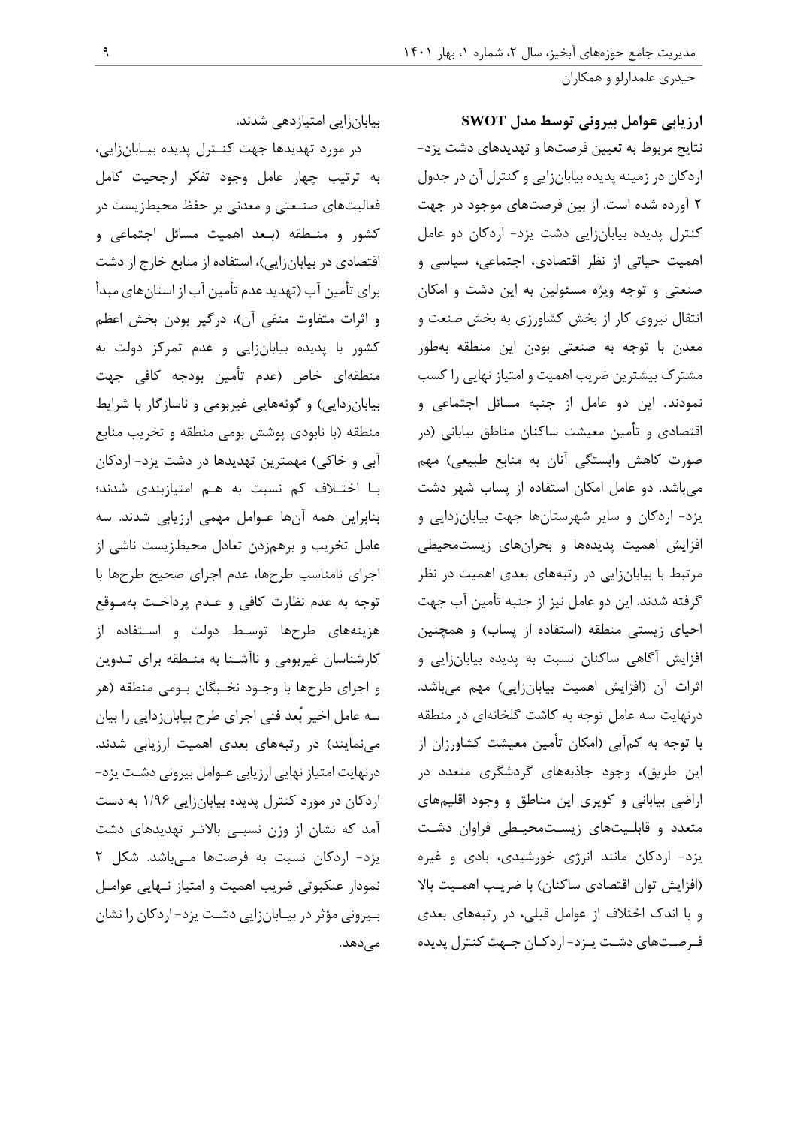**ارزیابی عوامل بیرونی توسط مدل SWOT** نتایج مربوط به تعیین فرصتها و تهدیدهای دشت یزد- اردکان در زمینه پدیده بیابانزایي و کنترل آن در جدول 2 آورده شده است. از بین فرصتهای موجود در جهت کنترل پدیده بیابانزایي دشت یزد- اردکان دو عامل اهمیت حیاتي از نظر اقتصادی، اجتماعي، سیاسي و صنعتي و توجه ویژه مسئولین به این دشت و امکان انتقال نیروی کار از بخش کشاورزی به بخش صنعت و معدن با توجه به صنعتي بودن این منطقه بهطور مشترک بیشترین ضریب اهمیت و امتیاز نهایي را کسب نمودند. این دو عامل از جنبه مسائل اجتماعي و اقتصادی و تأمین معیشت ساکنان مناطق بیاباني )در صورت کاهش وابستگي آنان به منابع طبیعي) مهم ميباشد. دو عامل امکان استفاده از پساب شهر دشت یزد- اردکان و سایر شهرستانها جهت بیابانزدایي و افزایش اهمیت پدیدهها و بحرانهای زیستمحیطي مرتبط با بیابانزایي در رتبههای بعدی اهمیت در نظر گرفته شدند. این دو عامل نیز از جنبه تأمین آب جهت احیای زیستی منطقه (استفاده از پساب) و همچنین افزایش آگاهي ساکنان نسبت به پدیده بیابانزایي و اثرات آن (افزایش اهمیت بیابانزایی) مهم میباشد. درنهایت سه عامل توجه به کاشت گلخانهای در منطقه با توجه به کمآبي )امکان تأمین معیشت کشاورزان از این طریق)، وجود جاذبههای گردشگری متعدد در اراضي بیاباني و کویری این مناطق و وجود اقلیمهای متعدد و قابلـیتهای زیسـتمحیـطي فراوان دشـت یزد- اردکان مانند انرژی خورشیدی، بادی و غیره (افزایش توان اقتصادی ساکنان) با ضریب اهمـیت بالا و با اندک اختالف از عوامل قبلي، در رتبههای بعدی فـرصـتهای دشـت یـزد- اردکـان جـهت کنترل پدیده

بیابانزایي امتیازدهي شدند.

در مورد تهدیدها جهت کنـترل پدیده بیـابانزایي، به ترتیب چهار عامل وجود تفکر ارجحیت کامل فعالیتهای صنـعتي و معدني بر حفظ محیطزیست در کشور و منـطقه )بـعد اهمیت مسائل اجتماعي و اقتصادی در بیابانزایی)، استفاده از منابع خارج از دشت برای تأمین آب )تهدید عدم تأمین آب از استانهای مبدأ و اثرات متفاوت منفی آن)، درگیر بودن بخش اعظم کشور با پدیده بیابانزایي و عدم تمرکز دولت به منطقهای خاص )عدم تأمین بودجه کافي جهت بیابانزدایی) و گونههایی غیربومی و ناسازگار با شرایط منطقه )با نابودی پوشش بومي منطقه و تخریب منابع آبي و خاکي) مهمترین تهدیدها در دشت یزد- اردکان بـا اختـالف کم نسبت به هـم امتیازبندی شدند؛ بنابراین همه آنها عـوامل مهمي ارزیابي شدند. سه عامل تخریب و برهمزدن تعادل محیطزیست ناشي از اجرای نامناسب طرحها، عدم اجرای صحیح طرحها با توجه به عدم نظارت کافي و عـدم پرداخـت بهمـوقع هزینههای طرحها توسـط دولت و اسـتفاده از کارشناسان غیربومي و ناآشـنا به منـطقه برای تـدوین و اجرای طرحها با وجـود نخـبگان بـومي منطقه )هر سه عامل اخیر بُعد فني اجرای طرح بیابانزدایي را بیان مینمایند) در رتبههای بعدی اهمیت ارزیابی شدند. درنهایت امتیاز نهایي ارزیابي عـوامل بیروني دشـت یزد- اردکان در مورد کنترل پدیده بیابانزایي 1/22 به دست آمد که نشان از وزن نسبـي باالتـر تهدیدهای دشت یزد- اردکان نسبت به فرصتها مـيباشد. شکل 2 نمودار عنکبوتي ضریب اهمیت و امتیاز نـهایي عوامـل بـیروني مؤثر در بیـابانزایي دشـت یزد- اردکان را نشان مے نهد.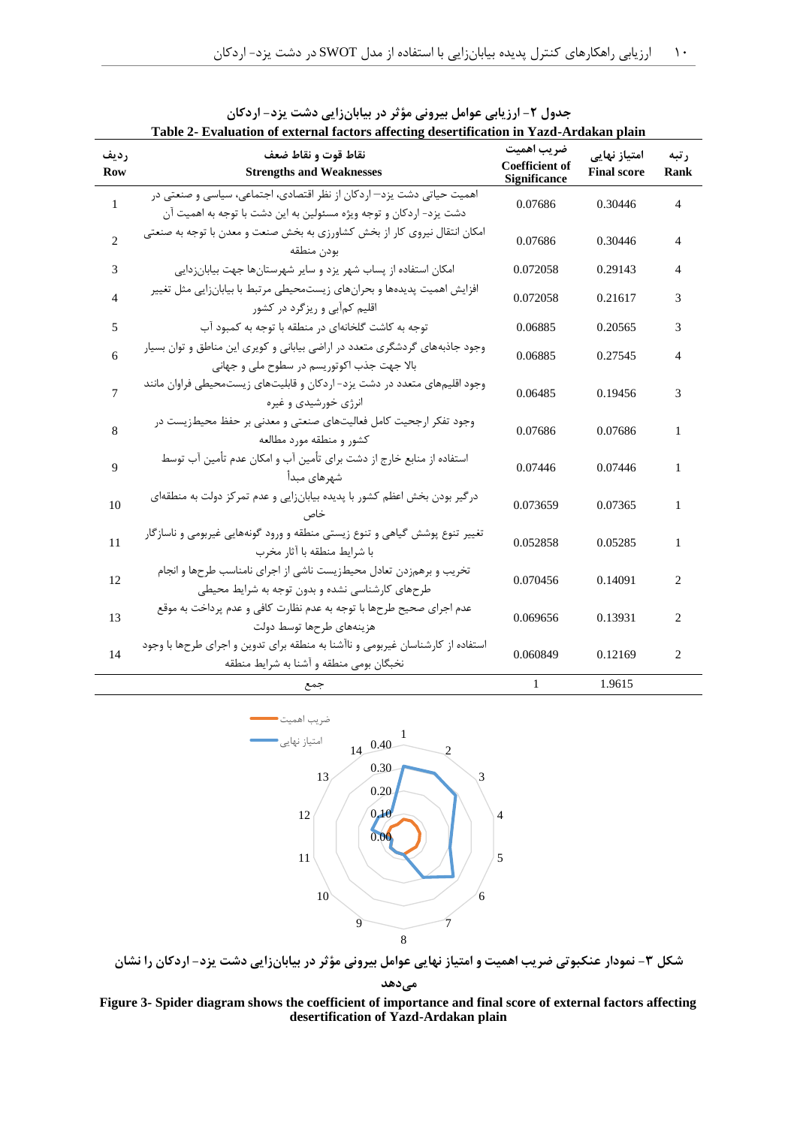| Table 2- Evaluation of external factors affecting desertification in Yazd-Ardakan plain |                                                                                                                                            |                                                            |                                            |                |
|-----------------------------------------------------------------------------------------|--------------------------------------------------------------------------------------------------------------------------------------------|------------------------------------------------------------|--------------------------------------------|----------------|
| رديف<br><b>Row</b>                                                                      | نقاط قوت و نقاط ضعف<br><b>Strengths and Weaknesses</b>                                                                                     | ضريب اهميت<br><b>Coefficient of</b><br><b>Significance</b> | امتیاز نهای <i>ی</i><br><b>Final score</b> | ر تبه<br>Rank  |
| 1                                                                                       | اهمیت حیاتی دشت پزد—اردکان از نظر اقتصادی، اجتماعی، سیاسی و صنعتی در<br>دشت یزد- اردکان و توجه ویژه مسئولین به این دشت با توجه به اهمیت آن | 0.07686                                                    | 0.30446                                    | $\overline{4}$ |
| $\overline{c}$                                                                          | امکان انتقال نیروی کار از بخش کشاورزی به بخش صنعت و معدن با توجه به صنعتی<br>بودن منطقه                                                    | 0.07686                                                    | 0.30446                                    | 4              |
| 3                                                                                       | امکان استفاده از پساب شهر یزد و سایر شهرستانها جهت بیابانزدایی                                                                             | 0.072058                                                   | 0.29143                                    | 4              |
| 4                                                                                       | افزایش اهمیت پدیدهها و بحرانهای زیستمحیطی مرتبط با بیابانزایی مثل تغییر<br>اقلیم کمآبی و ریزگرد در کشور                                    | 0.072058                                                   | 0.21617                                    | 3              |
| 5                                                                                       | توجه به کاشت گلخانهای در منطقه با توجه به کمبود آب                                                                                         | 0.06885                                                    | 0.20565                                    | 3              |
| 6                                                                                       | وجود جاذبههای گردشگری متعدد در اراضی بیابانی و کویری این مناطق و توان بسیار<br>بالا جهت جذب اكوتوريسم در سطوح ملي و جهاني                  | 0.06885                                                    | 0.27545                                    | 4              |
| 7                                                                                       | وجود اقلیمهای متعدد در دشت یزد- اردکان و قابلیتهای زیستمحیطی فراوان مانند<br>انرژی خورشیدی و غیره                                          | 0.06485                                                    | 0.19456                                    | 3              |
| 8                                                                                       | وجود تفكر ارجحيت كامل فعاليتهاى صنعتى و معدنى بر حفظ محيطزيست در<br>کشور و منطقه مورد مطالعه                                               | 0.07686                                                    | 0.07686                                    | 1              |
| 9                                                                                       | استفاده از منابع خارج از دشت برای تأمین آب و امکان عدم تأمین آب توسط<br>شهرهای مبدأ                                                        | 0.07446                                                    | 0.07446                                    | 1              |
| 10                                                                                      | درگیر بودن بخش اعظم کشور با پدیده بیابانزایی و عدم تمرکز دولت به منطقهای<br>خاص                                                            | 0.073659                                                   | 0.07365                                    | 1              |
| 11                                                                                      | تغییر تنوع پوشش گیاهی و تنوع زیستی منطقه و ورود گونههایی غیربومی و ناسازگار<br>با شرايط منطقه با آثار مخرب                                 | 0.052858                                                   | 0.05285                                    | 1              |
| 12                                                                                      | تخریب و برهمزدن تعادل محیطزیست ناشی از اجرای نامناسب طرحها و انجام<br>طرحهای کارشناسی نشده و بدون توجه به شرایط محیطی                      | 0.070456                                                   | 0.14091                                    | 2              |
| 13                                                                                      | عدم اجرای صحیح طرحها با توجه به عدم نظارت کافی و عدم پرداخت به موقع<br>هزينههاى طرحها توسط دولت                                            | 0.069656                                                   | 0.13931                                    | $\overline{c}$ |
| 14                                                                                      | استفاده از کارشناسان غیربومی و ناآشنا به منطقه برای تدوین و اجرای طرحها با وجود<br>نخبگان بومی منطقه و آشنا به شرایط منطقه                 | 0.060849                                                   | 0.12169                                    | 2              |
|                                                                                         | جمع                                                                                                                                        | $\mathbf{1}$                                               | 1.9615                                     |                |

|                                                                            | جدول ۲- ارزیابی عوامل بیرونی مؤثر در بیابانزایی دشت یزد- اردکان |  |
|----------------------------------------------------------------------------|-----------------------------------------------------------------|--|
| . Fralastisa ef entempl fostene effective Jesentfication in Vord, Andelsen |                                                                 |  |



**شکل -2 نمودار عنکبوتی ضریب اهمیت و امتیاز نهایی عوامل بیرونی مؤثر در بیابانزایی دشت یزد- اردکان را نشان میدهد**

**Figure 3- Spider diagram shows the coefficient of importance and final score of external factors affecting desertification of Yazd-Ardakan plain**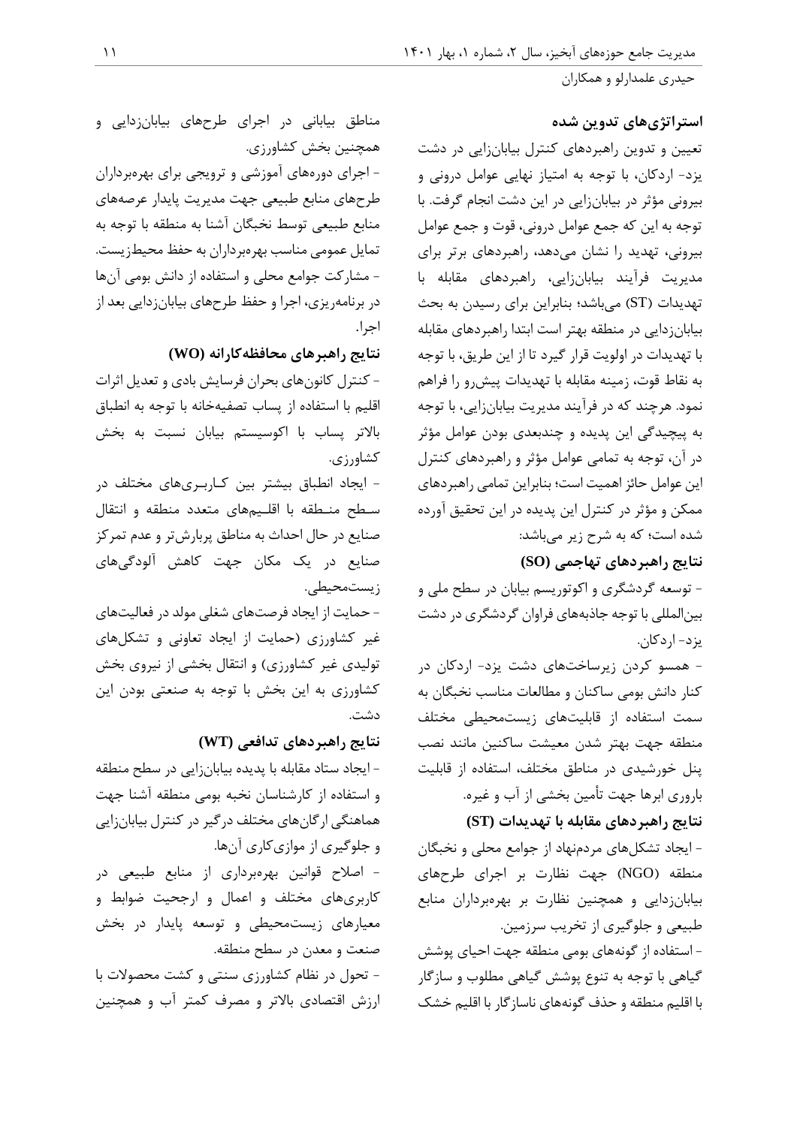## **استراتژیهای تدوین شده**

تعیین و تدوین راهبردهای کنترل بیابانزایي در دشت یزد- اردکان، با توجه به امتیاز نهایي عوامل دروني و بیروني مؤثر در بیابانزایي در این دشت انجام گرفت. با توجه به این که جمع عوامل دروني، قوت و جمع عوامل بیروني، تهدید را نشان ميدهد، راهبردهای برتر برای مدیریت فرآیند بیابانزایي، راهبردهای مقابله با تهدیدات )ST )ميباشد؛ بنابراین برای رسیدن به بحث بیابانزدایي در منطقه بهتر است ابتدا راهبردهای مقابله با تهدیدات در اولویت قرار گیرد تا از این طریق، با توجه به نقاط قوت، زمینه مقابله با تهدیدات پیشرو را فراهم نمود. هرچند که در فرآیند مدیریت بیابانزایي، با توجه به پیچیدگي این پدیده و چندبعدی بودن عوامل مؤثر در آن، توجه به تمامي عوامل مؤثر و راهبردهای کنترل این عوامل حائز اهمیت است؛ بنابراین تمامي راهبردهای ممکن و مؤثر در کنترل این پدیده در این تحقیق آورده شده است؛ که به شرح زیر ميباشد:

**نتایج راهبردهای تهاجمی (SO(**

- توسعه گردشگری و اکوتوریسم بیابان در سطح ملي و بینالمللي با توجه جاذبههای فراوان گردشگری در دشت یزد- اردکان.

- همسو کردن زیرساختهای دشت یزد- اردکان در کنار دانش بومي ساکنان و مطالعات مناسب نخبگان به سمت استفاده از قابلیتهای زیستمحیطي مختلف منطقه جهت بهتر شدن معیشت ساکنین مانند نصب پنل خورشیدی در مناطق مختلف، استفاده از قابلیت باروری ابرها جهت تأمین بخشي از آب و غیره.

**نتایج راهبردهای مقابله با تهدیدات (ST(**

- ایجاد تشکلهای مردمنهاد از جوامع محلي و نخبگان منطقه )NGO )جهت نظارت بر اجرای طرحهای بیابانزدایي و همچنین نظارت بر بهرهبرداران منابع طبیعي و جلوگیری از تخریب سرزمین.

- استفاده از گونههای بومي منطقه جهت احیای پوشش گیاهي با توجه به تنوع پوشش گیاهي مطلوب و سازگار با اقلیم منطقه و حذف گونههای ناسازگار با اقلیم خشک

مناطق بیاباني در اجرای طرحهای بیابانزدایي و همچنین بخش کشاورزی.

- اجرای دورههای آموزشي و ترویجي برای بهرهبرداران طرحهای منابع طبیعي جهت مدیریت پایدار عرصههای منابع طبیعي توسط نخبگان آشنا به منطقه با توجه به تمایل عمومي مناسب بهرهبرداران به حفظ محیطزیست. - مشارکت جوامع محلي و استفاده از دانش بومي آنها در برنامهریزی، اجرا و حفظ طرحهای بیابانزدایي بعد از اجرا.

**نتایج راهبرهای محافظهکارانه (WO(**

- کنترل کانونهای بحران فرسایش بادی و تعدیل اثرات اقلیم با استفاده از پساب تصفیهخانه با توجه به انطباق باالتر پساب با اکوسیستم بیابان نسبت به بخش کشاورزی.

- ایجاد انطباق بیشتر بین کـاربـریهای مختلف در سـطح منـطقه با اقلـیمهای متعدد منطقه و انتقال صنایع در حال احداث به مناطق پربارشتر و عدم تمرکز صنایع در یک مکان جهت کاهش آلودگيهای زیستمحیطي.

- حمایت از ایجاد فرصتهای شغلي مولد در فعالیتهای غیر کشاورزی )حمایت از ایجاد تعاوني و تشکلهای تولیدی غیر کشاورزی) و انتقال بخشي از نیروی بخش کشاورزی به این بخش با توجه به صنعتي بودن این دشت.

## **نتایج راهبردهای تدافعی (WT(**

- ایجاد ستاد مقابله با پدیده بیابانزایي در سطح منطقه و استفاده از کارشناسان نخبه بومي منطقه آشنا جهت هماهنگي ارگانهای مختلف درگیر در کنترل بیابانزایي و جلوگیری از موازیکاری آنها. - اصالح قوانین بهرهبرداری از منابع طبیعي در کاربریهای مختلف و اعمال و ارجحیت ضوابط و معیارهای زیستمحیطي و توسعه پایدار در بخش صنعت و معدن در سطح منطقه. - تحول در نظام کشاورزی سنتي و کشت محصوالت با ارزش اقتصادی باالتر و مصرف کمتر آب و همچنین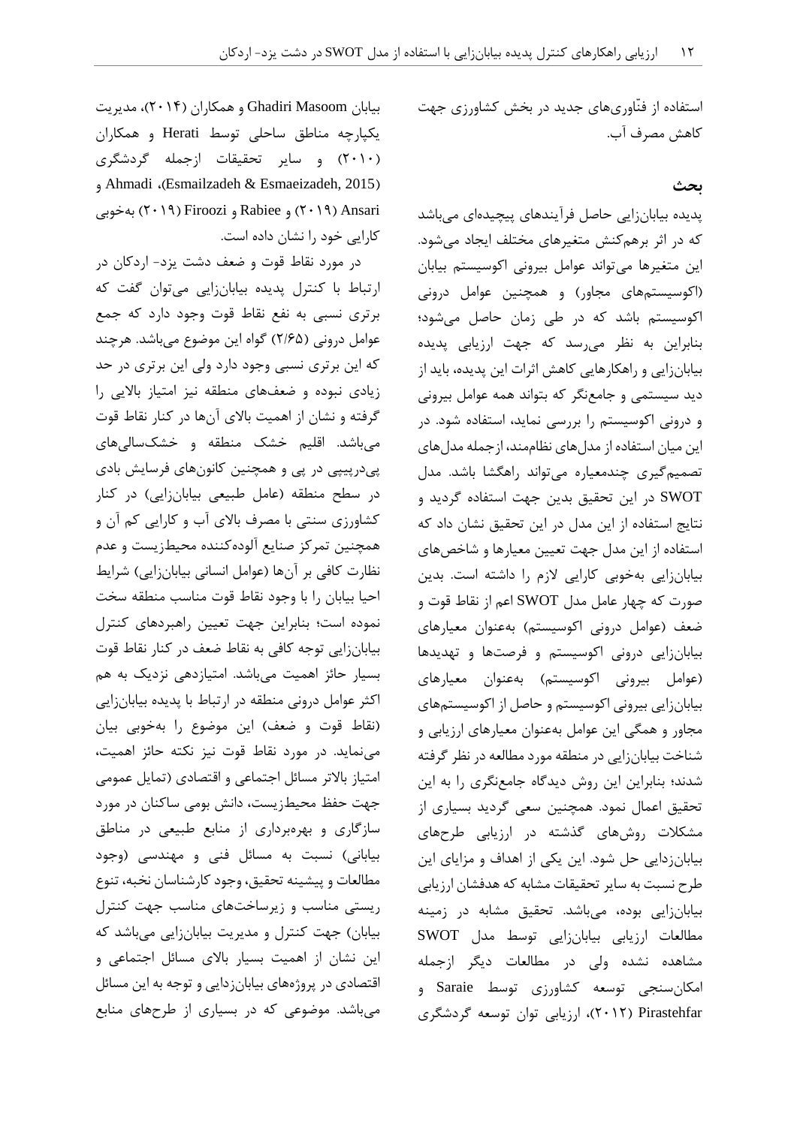استفاده از فنّاوریهای جدید در بخش کشاورزی جهت کاهش مصرف آب.

### **بحث**

پدیده بیابانزایي حاصل فرآیندهای پیچیدهای ميباشد که در اثر برهمکنش متغیرهای مختلف ایجاد ميشود. این متغیرها ميتواند عوامل بیروني اکوسیستم بیابان )اکوسیستمهای مجاور( و همچنین عوامل دروني اکوسیستم باشد که در طي زمان حاصل ميشود؛ بنابراین به نظر ميرسد که جهت ارزیابي پدیده بیابانزایي و راهکارهایي کاهش اثرات این پدیده، باید از دید سیستمي و جامعنگر که بتواند همه عوامل بیروني و دروني اکوسیستم را بررسي نماید، استفاده شود. در این میان استفاده از مدلهای نظاممند، ازجمله مدلهای تصمیمگیری چندمعیاره ميتواند راهگشا باشد. مدل SWOT در این تحقیق بدین جهت استفاده گردید و نتایج استفاده از این مدل در این تحقیق نشان داد که استفاده از این مدل جهت تعیین معیارها و شاخصهای بیابانزایي بهخوبي کارایي الزم را داشته است. بدین صورت که چهار عامل مدل SWOT اعم از نقاط قوت و ضعف (عوامل درونی اکوسیستم) بهعنوان معیارهای بیابانزایي دروني اکوسیستم و فرصتها و تهدیدها (عوامل بیرونی اکوسیستم) بهعنوان معیارهای بیابانزایي بیروني اکوسیستم و حاصل از اکوسیستمهای مجاور و همگي این عوامل بهعنوان معیارهای ارزیابي و شناخت بیابانزایي در منطقه مورد مطالعه در نظر گرفته شدند؛ بنابراین این روش دیدگاه جامعنگری را به این تحقیق اعمال نمود. همچنین سعي گردید بسیاری از مشکالت روشهای گذشته در ارزیابي طرحهای بیابانزدایي حل شود. این یکي از اهداف و مزایای این طرح نسبت به سایر تحقیقات مشابه که هدفشان ارزیابي بیابانزایي بوده، ميباشد. تحقیق مشابه در زمینه مطالعات ارزیابي بیابانزایي توسط مدل SWOT مشاهده نشده ولي در مطالعات دیگر ازجمله امکانسنجي توسعه کشاورزی توسط Saraie و Pirastehfar( 2412)، ارزیابي توان توسعه گردشگری

بیابان Masoom Ghadiri و همکاران )2410(، مدیریت یکپارچه مناطق ساحلي توسط Herati و همکاران )2414( و سایر تحقیقات ازجمله گردشگری و Ahmadi ،)Esmailzadeh & Esmaeizadeh, 2015( Ansari( 2412 )و Rabiee و Firoozi( 2412 )بهخوبي کارایي خود را نشان داده است.

در مورد نقاط قوت و ضعف دشت یزد- اردکان در ارتباط با کنترل پدیده بیابانزایي ميتوان گفت که برتری نسبي به نفع نقاط قوت وجود دارد که جمع عوامل دروني )2/22( گواه این موضوع ميباشد. هرچند که این برتری نسبي وجود دارد ولي این برتری در حد زیادی نبوده و ضعفهای منطقه نیز امتیاز باالیي را گرفته و نشان از اهمیت باالی آنها در کنار نقاط قوت ميباشد. اقلیم خشک منطقه و خشکساليهای پيدرپیپي در پي و همچنین کانونهای فرسایش بادی در سطح منطقه (عامل طبیعی بیابانزایی) در کنار کشاورزی سنتي با مصرف باالی آب و کارایي کم آن و همچنین تمرکز صنایع آلودهکننده محیطزیست و عدم نظارت کافي بر آنها (عوامل انساني بیابانزایي) شرایط احیا بیابان را با وجود نقاط قوت مناسب منطقه سخت نموده است؛ بنابراین جهت تعیین راهبردهای کنترل بیابانزایي توجه کافي به نقاط ضعف در کنار نقاط قوت بسیار حائز اهمیت ميباشد. امتیازدهي نزدیک به هم اکثر عوامل دروني منطقه در ارتباط با پدیده بیابانزایي (نقاط قوت و ضعف) این موضوع را بهخوبي بیان مينماید. در مورد نقاط قوت نیز نکته حائز اهمیت، امتیاز بالاتر مسائل اجتماعی و اقتصادی (تمایل عمومی جهت حفظ محیطزیست، دانش بومي ساکنان در مورد سازگاری و بهرهبرداری از منابع طبیعي در مناطق بیاباني) نسبت به مسائل فني و مهندسي (وجود مطالعات و پیشینه تحقیق، وجود کارشناسان نخبه، تنوع ریستي مناسب و زیرساختهای مناسب جهت کنترل بیابان) جهت کنترل و مدیریت بیابانزایی میباشد که این نشان از اهمیت بسیار باالی مسائل اجتماعي و اقتصادی در پروژههای بیابانزدایي و توجه به این مسائل ميباشد. موضوعي که در بسیاری از طرحهای منابع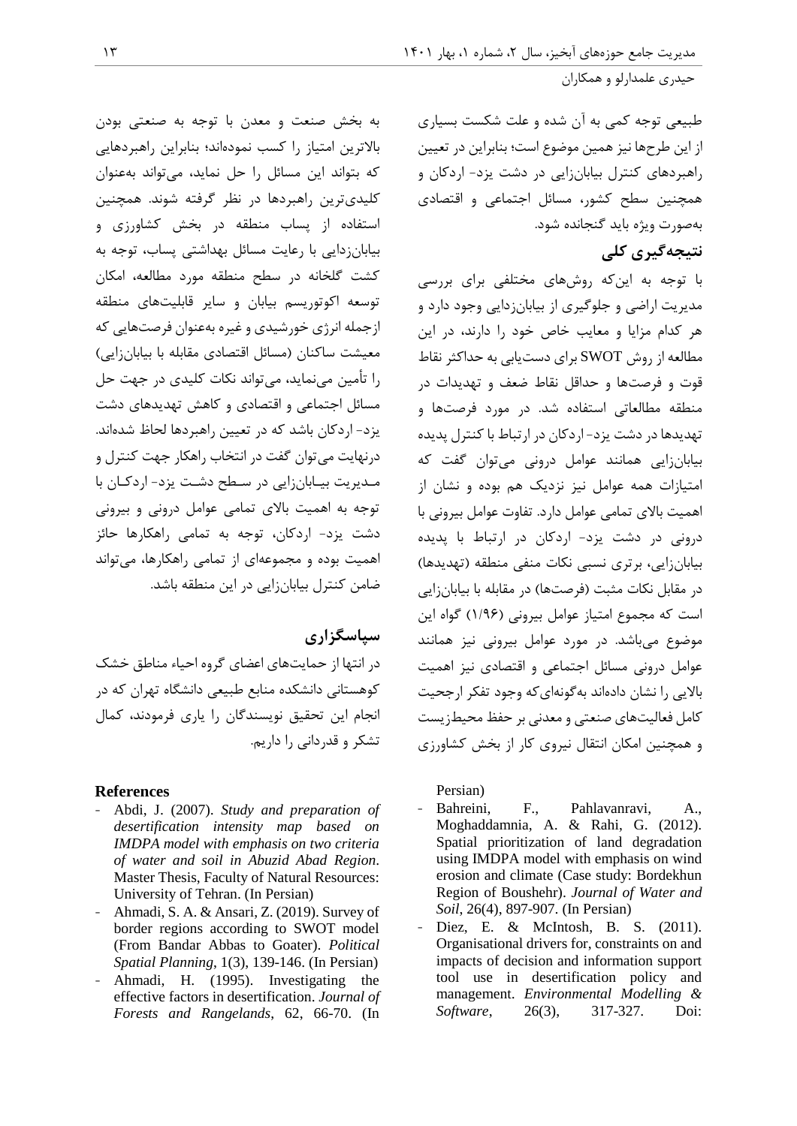طبیعي توجه کمي به آن شده و علت شکست بسیاری از این طرحها نیز همین موضوع است؛ بنابراین در تعیین راهبردهای کنترل بیابانزایي در دشت یزد- اردکان و همچنین سطح کشور، مسائل اجتماعي و اقتصادی بهصورت ویژه باید گنجانده شود.

## **نتیجهگیری کلی**

با توجه به اینکه روشهای مختلفي برای بررسي مدیریت اراضي و جلوگیری از بیابانزدایي وجود دارد و هر کدام مزایا و معایب خاص خود را دارند، در این مطالعه از روش SWOT برای دستیابي به حداکثر نقاط قوت و فرصتها و حداقل نقاط ضعف و تهدیدات در منطقه مطالعاتي استفاده شد. در مورد فرصتها و تهدیدها در دشت یزد- اردکان در ارتباط با کنترل پدیده بیابانزایي همانند عوامل دروني ميتوان گفت که امتیازات همه عوامل نیز نزدیک هم بوده و نشان از اهمیت باالی تمامي عوامل دارد. تفاوت عوامل بیروني با دروني در دشت یزد- اردکان در ارتباط با پدیده بیابانزایي، برتری نسبي نکات منفي منطقه )تهدیدها( در مقابل نکات مثبت (فرصتها) در مقابله با بیابانزایی است که مجموع امتیاز عوامل بیروني )1/22( گواه این موضوع ميباشد. در مورد عوامل بیروني نیز همانند عوامل دروني مسائل اجتماعي و اقتصادی نیز اهمیت باالیي را نشان دادهاند بهگونهایکه وجود تفکر ارجحیت کامل فعالیتهای صنعتي و معدني بر حفظ محیطزیست و همچنین امکان انتقال نیروی کار از بخش کشاورزی

Persian)

- Bahreini, F., Pahlavanravi, A., Moghaddamnia, A. & Rahi, G. (2012). Spatial prioritization of land degradation using IMDPA model with emphasis on wind erosion and climate (Case study: Bordekhun Region of Boushehr). *Journal of Water and Soil*, 26(4), 897-907. (In Persian)
- Diez, E. & McIntosh, B. S. (2011). Organisational drivers for, constraints on and impacts of decision and information support tool use in desertification policy and management. *Environmental Modelling & Software*, 26(3), 317-327. Doi:

به بخش صنعت و معدن با توجه به صنعتي بودن باالترین امتیاز را کسب نمودهاند؛ بنابراین راهبردهایي که بتواند این مسائل را حل نماید، ميتواند بهعنوان کلیدیترین راهبردها در نظر گرفته شوند. همچنین استفاده از پساب منطقه در بخش کشاورزی و بیابانزدایي با رعایت مسائل بهداشتي پساب، توجه به کشت گلخانه در سطح منطقه مورد مطالعه، امکان توسعه اکوتوریسم بیابان و سایر قابلیتهای منطقه ازجمله انرژی خورشیدی و غیره بهعنوان فرصتهایي که معیشت ساکنان )مسائل اقتصادی مقابله با بیابانزایي( را تأمین مينماید، ميتواند نکات کلیدی در جهت حل مسائل اجتماعي و اقتصادی و کاهش تهدیدهای دشت یزد- اردکان باشد که در تعیین راهبردها لحاظ شدهاند. درنهایت ميتوان گفت در انتخاب راهکار جهت کنترل و مـدیریت بیـابانزایي در سـطح دشـت یزد- اردکـان با توجه به اهمیت باالی تمامي عوامل دروني و بیروني دشت یزد- اردکان، توجه به تمامي راهکارها حائز اهمیت بوده و مجموعهای از تمامي راهکارها، ميتواند ضامن کنترل بیابانزایي در این منطقه باشد.

## **سپاسگزاری**

در انتها از حمایتهای اعضای گروه احیاء مناطق خشک کوهستاني دانشکده منابع طبیعي دانشگاه تهران که در انجام این تحقیق نویسندگان را یاری فرمودند، کمال تشکر و قدرداني را داریم.

#### **References**

- Abdi, J. (2007). *Study and preparation of desertification intensity map based on IMDPA model with emphasis on two criteria of water and soil in Abuzid Abad Region*. Master Thesis, Faculty of Natural Resources: University of Tehran. (In Persian)
- Ahmadi, S. A. & Ansari, Z. (2019). Survey of border regions according to SWOT model (From Bandar Abbas to Goater). *Political Spatial Planning*, 1(3), 139-146. (In Persian)
- Ahmadi, H. (1995). Investigating the effective factors in desertification. *Journal of Forests and Rangelands*, 62, 66-70. (In